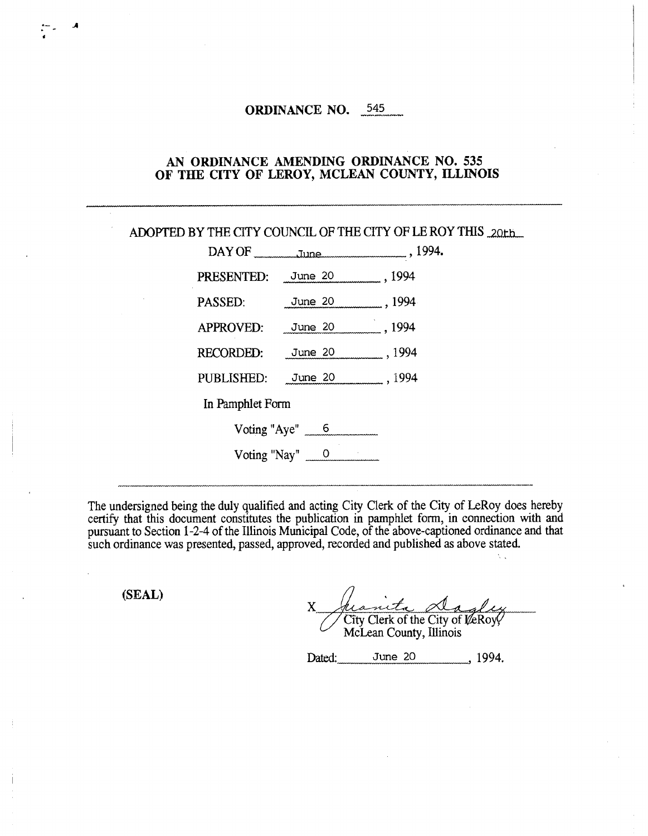## **ORDINANCE NO.** 545

### **AN ORDINANCE AMENDING ORDINANCE NO.** 535 **OF THE CITY OF LEROY, MCLEAN COUNTY, ILLINOIS**

|                           |                       | ADOPTED BY THE CITY COUNCIL OF THE CITY OF LE ROY THIS 20th |
|---------------------------|-----------------------|-------------------------------------------------------------|
|                           |                       | DAY OF THE Tune Tune 1994.                                  |
| PRESENTED: June 20 , 1994 |                       |                                                             |
| PASSED: June 20 , 1994    |                       |                                                             |
| APPROVED: June 20 1994    |                       |                                                             |
| RECORDED: June 20 , 1994  |                       |                                                             |
| PUBLISHED: June 20 , 1994 |                       |                                                             |
| In Pamphlet Form          |                       |                                                             |
|                           | Voting "Aye" $6$      |                                                             |
|                           | Voting "Nay" <u>0</u> |                                                             |
|                           |                       |                                                             |

The undersigned being the duly qualified and acting City Clerk of the City of LeRoy does hereby certify that this document constitutes the publication in pamphlet form, in connection with and pursuant to Section 1-2-4 of the Illinois Municipal Code, of the above-captioned ordinance and that such ordinance was presented, passed, approved, recorded and published as above stated.

**(SEAL)** 

X City Clerk of the City of VeRov McLean County, Illinois

 $\mathcal{N}$ 

Dated: June 20 , 1994.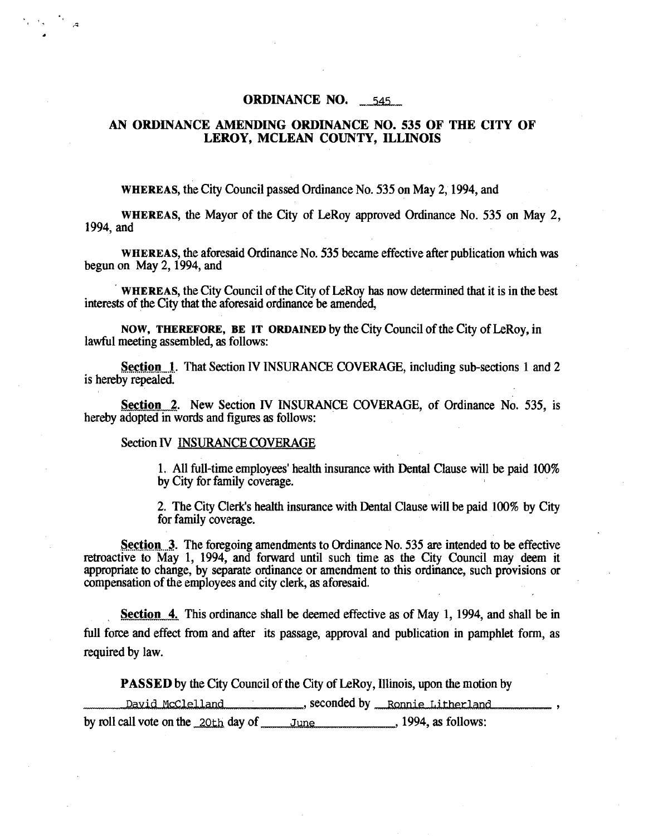#### **ORDINANCE NO.** 545

## AN ORDINANCE AMENDING ORDINANCE NO. 535 OF THE CITY OF LEROY, MCLEAN COUNTY, ILLINOIS

WHEREAS, the City Council passed Ordinance No. 535 on May 2, 1994, and

WHEREAS, the Mayor of the City of LeRoy approved Ordinance No. 535 on May 2, 1994, and

WHEREAS, the aforesaid Ordinance No. 535 became effective after publication which was begun on May 2, 1994, and

WHEREAS, the City Council of the City of LeRoy has now determined that it is in the best interests of the City that the aforesaid ordinance be amended,

NOW, THEREFORE, BE IT ORDAINED by the City Council of the City of LeRoy, in lawful meeting assembled, as follows:

Section 1. That Section IV INSURANCE COVERAGE, including sub-sections 1 and 2 is hereby repealed.

Section 2. New Section IV INSURANCE COVERAGE, of Ordinance No. 535, is hereby adopted in words and figures as follows:

#### Section IV INSURANCE COVERAGE

1. All full-time employees' health insurance with Dental Clause will be paid 100% by City for family coverage.

2. The City Clerk's health insurance with Dental Clause will be paid 100% by City for family coverage.

Section 3. The foregoing amendments to Ordinance No. 535 are intended to be effective retroactive to May 1, 1994, and forward until such time as the City Council may deem it appropriate to change, by separate ordinance or amendment to this ordinance, such provisions or compensation of the employees and city clerk, as aforesaid.

Section 4. This ordinance shall be deemed effective as of May 1, 1994, and shall be in full force and effect from and after its passage, approval and publication in pamphlet form, as required by law.

PASSED by the City Council of the City of LeRoy, Illinois, upon the motion by

David McClelland \_\_\_\_\_\_\_\_\_\_\_, seconded by \_\_\_ Ronnie Litherland by roll call vote on the  $20th$  day of June. 1994, as follows: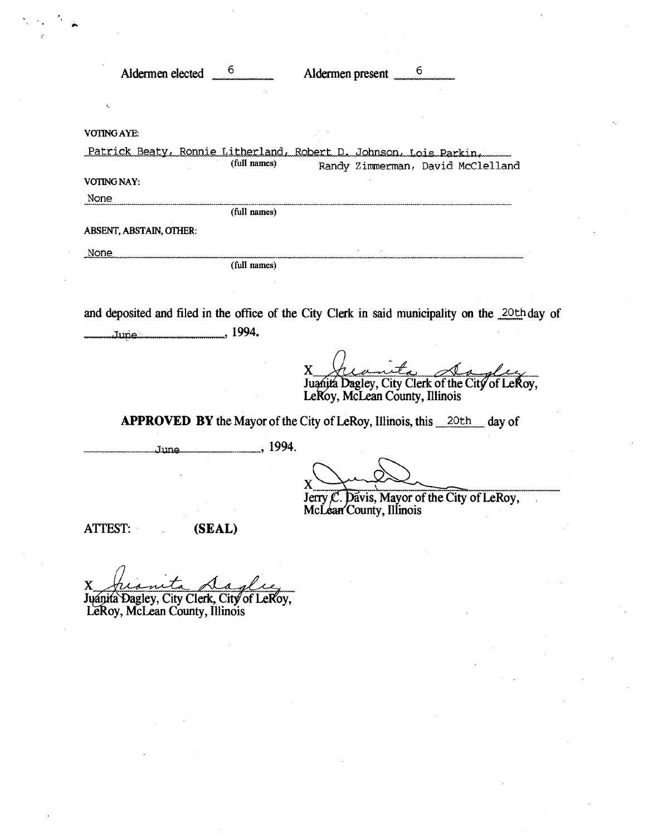| K<br>(full names)<br>Randy Zimmerman, David McClelland<br>(full names)<br>(full names)<br>June: 1994.<br>X<br>Juanita Dagley, City Clerk of the City of LeRoy,<br>LeRoy, McLean County, Illinois<br><b>APPROVED BY</b> the Mayor of the City of LeRoy, Illinois, this 20th day of<br>June 1994. | Aldermen elected <sup>6</sup> | Aldermen present 5 |  |
|-------------------------------------------------------------------------------------------------------------------------------------------------------------------------------------------------------------------------------------------------------------------------------------------------|-------------------------------|--------------------|--|
|                                                                                                                                                                                                                                                                                                 |                               |                    |  |
| Patrick Beaty, Ronnie Litherland, Robert D. Johnson, Lois Parkin,                                                                                                                                                                                                                               | VOTING AYE:                   |                    |  |
| VOTING NAY:<br>None<br>ABSENT, ABSTAIN, OTHER:<br>None<br>and deposited and filed in the office of the City Clerk in said municipality on the 20th day of                                                                                                                                       |                               |                    |  |
|                                                                                                                                                                                                                                                                                                 |                               |                    |  |
|                                                                                                                                                                                                                                                                                                 |                               |                    |  |
|                                                                                                                                                                                                                                                                                                 |                               |                    |  |
|                                                                                                                                                                                                                                                                                                 |                               |                    |  |
|                                                                                                                                                                                                                                                                                                 |                               |                    |  |
|                                                                                                                                                                                                                                                                                                 |                               |                    |  |
|                                                                                                                                                                                                                                                                                                 |                               |                    |  |
|                                                                                                                                                                                                                                                                                                 |                               |                    |  |
|                                                                                                                                                                                                                                                                                                 |                               |                    |  |
|                                                                                                                                                                                                                                                                                                 |                               |                    |  |
|                                                                                                                                                                                                                                                                                                 |                               |                    |  |
| Jerry C. Davis, Mayor of the City of LeRoy,<br>McLean County, Illinois                                                                                                                                                                                                                          |                               |                    |  |
| <b>ATTEST:</b><br>(SEAL)                                                                                                                                                                                                                                                                        |                               |                    |  |
|                                                                                                                                                                                                                                                                                                 |                               |                    |  |

 $\mathbf{X}_{\scriptscriptstyle{m}}$ ag  $\mathscr{U}$ X heavent 1<br>Juanita Dagley, City Clerk, C , City of LeRoy, Le Roy, McLean County, Illinois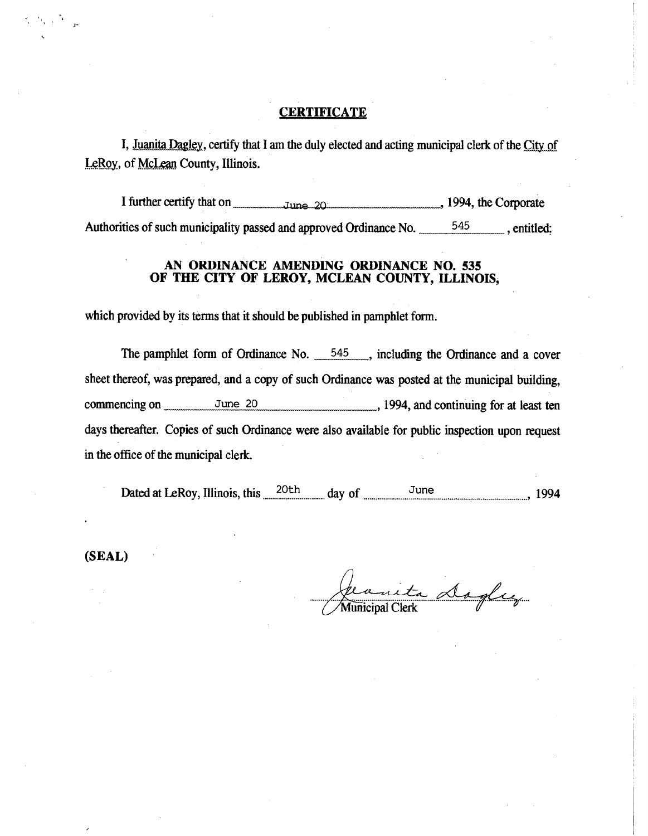# **CERTIFICATE**

I, Juanita Dagley, certify that I am the duly elected and acting municipal clerk of the City of LeRoy, of McLean County, Illinois.

I further certify that on  $_{\text{num}}$   $_{\text{Jung } 20}$   $_{\text{num}}$  1994, the Corporate Authorities of such municipality passed and approved Ordinance No. 545 , entitled:

## AN ORDINANCE AMENDING ORDINANCE NO. 535 OF THE CITY OF LEROY, MCLEAN COUNTY, ILLINOIS,

which provided by its terms that it should be published in pamphlet form.

The pamphlet form of Ordinance No. 545, including the Ordinance and a cover sheet thereof, was prepared, and a copy of such Ordinance was posted at the municipal building, commencing on  $\frac{June\ 20}{June\ 20}$ , 1994, and continuing for at least ten days thereafter. Copies of such Ordinance were also available for public inspection upon request in the office of the municipal clerk.

Dated at LeRoy, Illinois, this ,......20th ........... day of ........................June ........................... I .................... 9 1994

(SEAL)

 $\sim$   $\sim$ 

Jean to Dogle Municipal Clerk